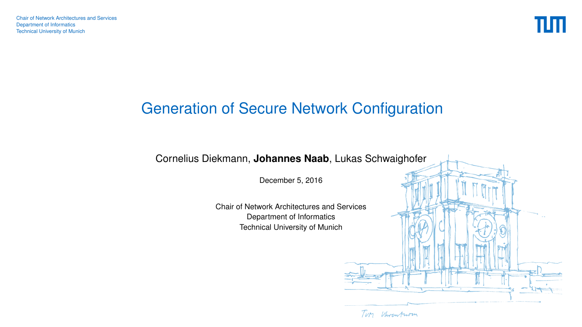

# <span id="page-0-0"></span>Generation of Secure Network Configuration



December 5, 2016

Chair of Network Architectures and Services Department of Informatics Technical University of Munich

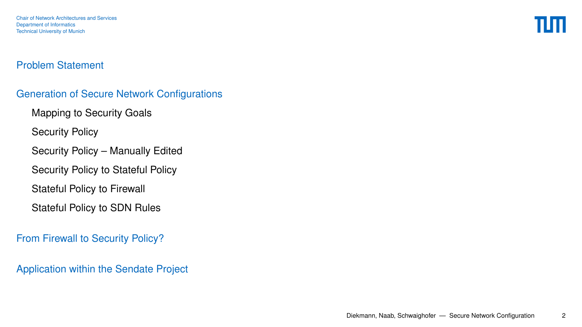Chair of Network Architectures and Services Department of Informatics Technical University of Munich

#### [Problem Statement](#page-2-0)

#### [Generation of Secure Network Configurations](#page-7-0)

[Mapping to Security Goals](#page-7-0)

[Security Policy](#page-12-0)

[Security Policy – Manually Edited](#page-13-0)

[Security Policy to Stateful Policy](#page-14-0)

[Stateful Policy to Firewall](#page-15-0)

[Stateful Policy to SDN Rules](#page-16-0)

[From Firewall to Security Policy?](#page-17-0)

[Application within the Sendate Project](#page-24-0)

Ш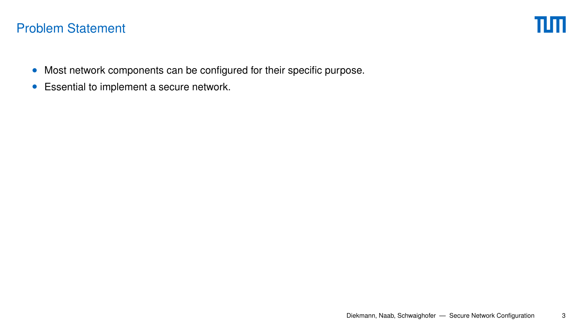- <span id="page-2-0"></span>• Most network components can be configured for their specific purpose.
- Essential to implement a secure network.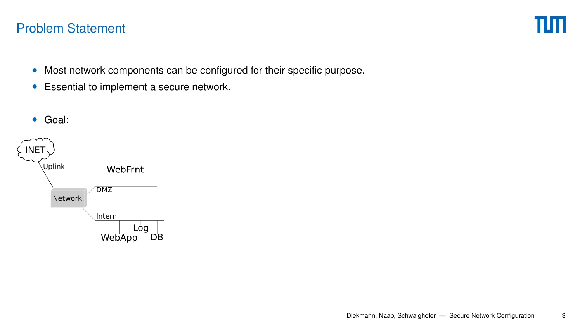- Most network components can be configured for their specific purpose.
- Essential to implement a secure network.

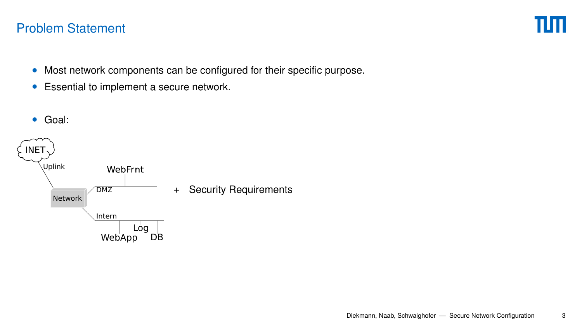- Most network components can be configured for their specific purpose.
- Essential to implement a secure network.

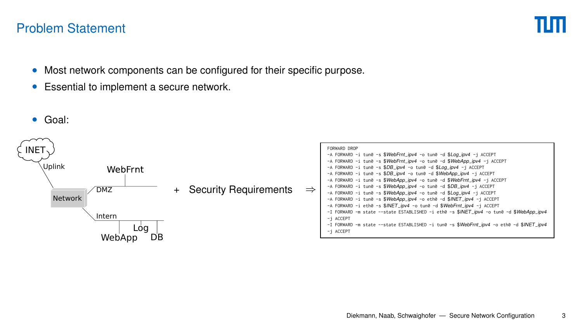- Most network components can be configured for their specific purpose.
- Essential to implement a secure network.

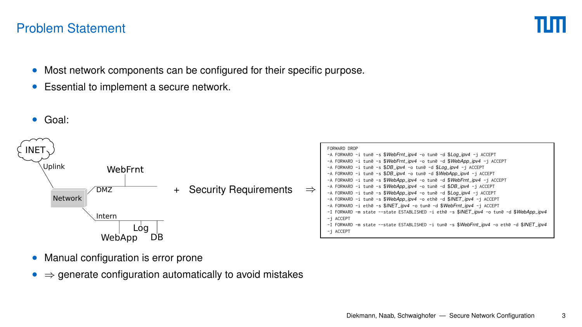- Most network components can be configured for their specific purpose.
- Essential to implement a secure network.



- Manual configuration is error prone
- $\Rightarrow$  generate configuration automatically to avoid mistakes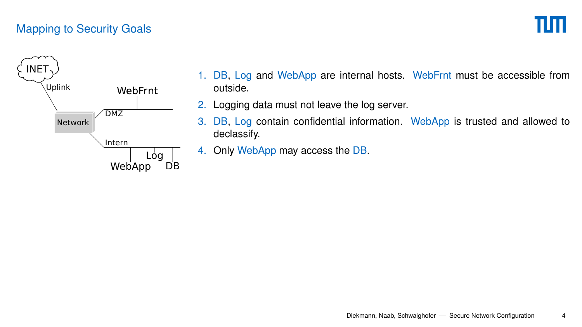# πm

<span id="page-7-0"></span>

- 1. DB, Log and WebApp are internal hosts. WebFrnt must be accessible from outside.
- 2. Logging data must not leave the log server.
- 3. DB, Log contain confidential information. WebApp is trusted and allowed to declassify.
- 4. Only WebApp may access the DB.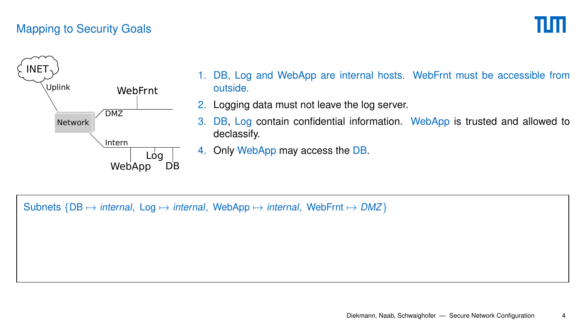# пп



- 1. DB, Log and WebApp are internal hosts. WebFrnt must be accessible from outside.
- 2. Logging data must not leave the log server.
- 3. DB, Log contain confidential information. WebApp is trusted and allowed to declassify.
- 4. Only WebApp may access the DB.

Subnets  ${DB \mapsto internal, Log \mapsto internal, WebApp \mapsto internal, WebFnt \mapsto DMZ}$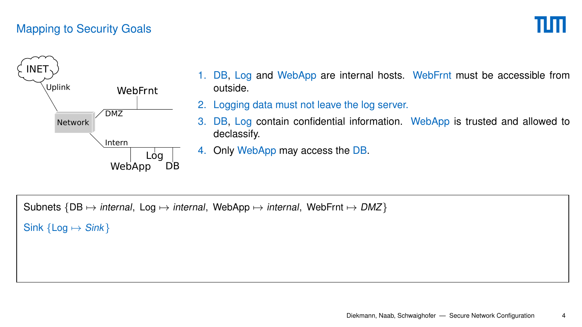

- 1. DB, Log and WebApp are internal hosts. WebFrnt must be accessible from outside.
- 2. Logging data must not leave the log server.
- 3. DB, Log contain confidential information. WebApp is trusted and allowed to declassify.
- 4. Only WebApp may access the DB.

Subnets  ${DB \mapsto internal, Log \mapsto internal, WebApp \mapsto internal, WebFnt \mapsto DMZ}$ 

Sink  $\{Log \mapsto Sink\}$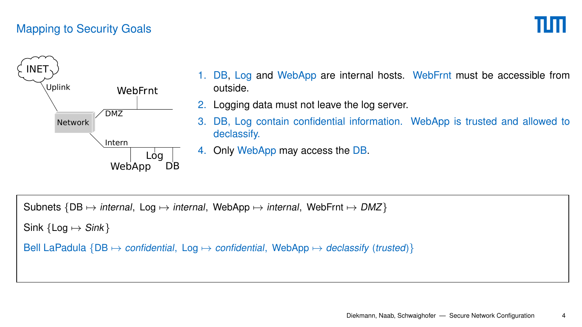# пп



- 1. DB, Log and WebApp are internal hosts. WebFrnt must be accessible from outside.
- 2. Logging data must not leave the log server.
- 3. DB, Log contain confidential information. WebApp is trusted and allowed to declassify.
- 4. Only WebApp may access the DB.

Subnets  ${DB \mapsto internal, Log \mapsto internal, WebApp \mapsto internal, WebFnt \mapsto DMZ}$ 

Sink  ${Log \mapsto$  Sink }

Bell LaPadula  ${DB \mapsto$  confidential, Log  $\mapsto$  confidential, WebApp  $\mapsto$  declassify (trusted)}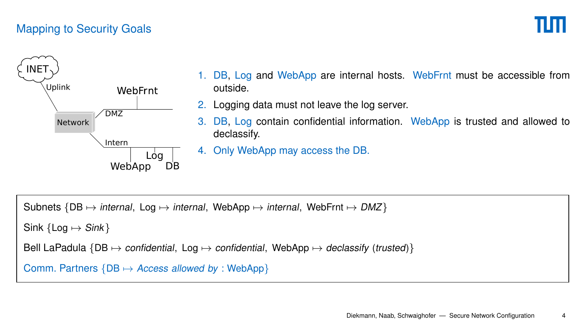# Ш



- 1. DB, Log and WebApp are internal hosts. WebFrnt must be accessible from outside.
- 2. Logging data must not leave the log server.
- 3. DB, Log contain confidential information. WebApp is trusted and allowed to declassify.
- 4. Only WebApp may access the DB.

Subnets  ${DB \mapsto internal, Log \mapsto internal, WebApp \mapsto internal, WebFnt \mapsto DMZ}$ 

Sink  ${Log \mapsto$  Sink }

```
Bell LaPadula {DB \mapsto \text{confidential}}, Log \mapsto \text{confidential}}, WebApp \mapsto declassify (trusted)}
```

```
Comm. Partners {DB \mapsto Access allowed by : WebApp}
```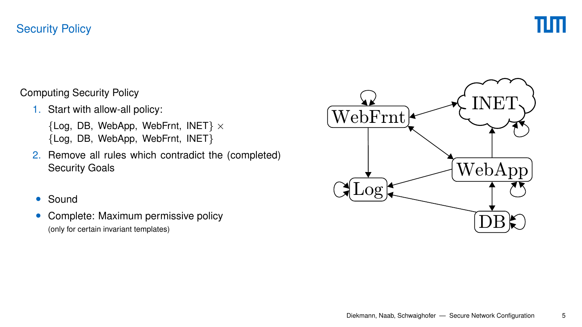#### <span id="page-12-0"></span>[Security Policy](#page-12-0)



Computing Security Policy

1. Start with allow-all policy:

 ${Log, DB, WebApp, WebFnt, INET} \times$ {Log, DB, WebApp, WebFrnt, INET}

- 2. Remove all rules which contradict the (completed) Security Goals
- Sound
- Complete: Maximum permissive policy

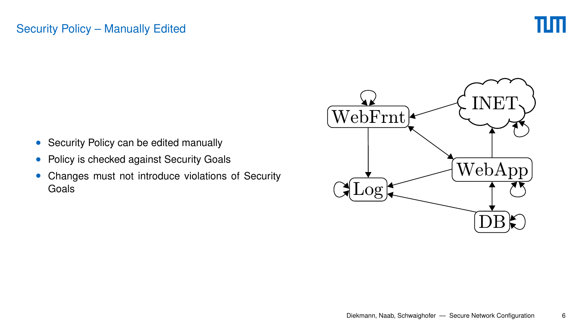#### <span id="page-13-0"></span>[Security Policy – Manually Edited](#page-13-0)



- Security Policy can be edited manually
- Policy is checked against Security Goals
- Changes must not introduce violations of Security Goals

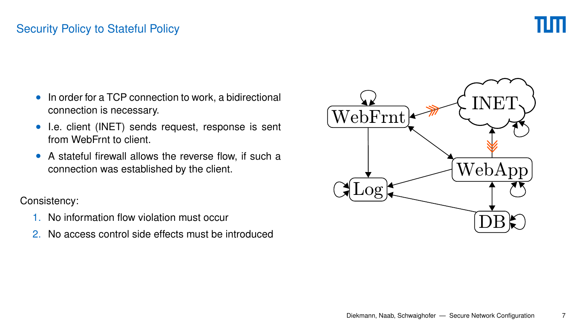#### <span id="page-14-0"></span>[Security Policy to Stateful Policy](#page-14-0)



- In order for a TCP connection to work, a bidirectional connection is necessary.
- I.e. client (INET) sends request, response is sent from WebFrnt to client.
- A stateful firewall allows the reverse flow, if such a connection was established by the client.

#### Consistency:

- 1. No information flow violation must occur
- 

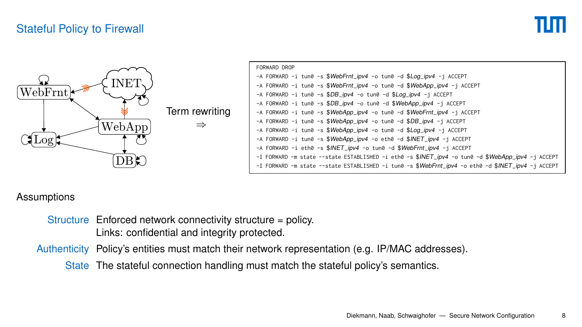#### <span id="page-15-0"></span>[Stateful Policy to Firewall](#page-15-0)



#### **Assumptions**

Structure Enforced network connectivity structure = policy. Links: confidential and integrity protected.

Authenticity Policy's entities must match their network representation (e.g. IP/MAC addresses).

State The stateful connection handling must match the stateful policy's semantics.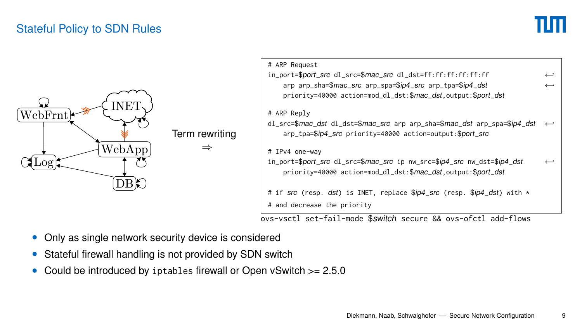#### <span id="page-16-0"></span>[Stateful Policy to SDN Rules](#page-16-0)



| # ARP Request                                                                             |  |
|-------------------------------------------------------------------------------------------|--|
| in_port=\$port_src dl_src=\$mac_src dl_dst=ff:ff:ff:ff:ff:ff                              |  |
| arp arp_sha=\$mac_src arp_spa=\$ip4_src arp_tpa=\$ip4_dst                                 |  |
| priority=40000 action=mod_dl_dst:\$mac_dst.output:\$port_dst                              |  |
| # ARP Reply                                                                               |  |
| dl_src=\$mac_dst dl_dst=\$mac_src arp arp_sha=\$mac_dst arp_spa=\$ip4_dst                 |  |
| arp_tpa=\$ip4_src priority=40000 action=output:\$port_src                                 |  |
| # IPv4 one-wav                                                                            |  |
| in_port=\$port_src dl_src=\$mac_src ip nw_src=\$ip4_src nw_dst=\$ip4_dst                  |  |
| priority=40000 action=mod_dl_dst:\$mac_dst.output:\$port_dst                              |  |
| # if src (resp. dst) is INET, replace \$ <i>ip4_src</i> (resp. \$ <i>ip4_dst</i> ) with * |  |
| # and decrease the priority                                                               |  |

ovs-vsctl set-fail-mode \$switch secure && ovs-ofctl add-flows

- Only as single network security device is considered
- Stateful firewall handling is not provided by SDN switch
- Could be introduced by iptables firewall or Open vSwitch >= 2.5.0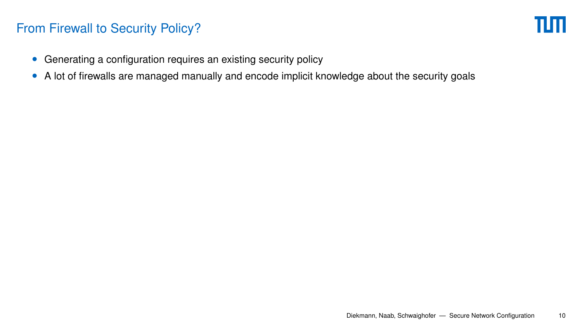ШП

- <span id="page-17-0"></span>• Generating a configuration requires an existing security policy
- A lot of firewalls are managed manually and encode implicit knowledge about the security goals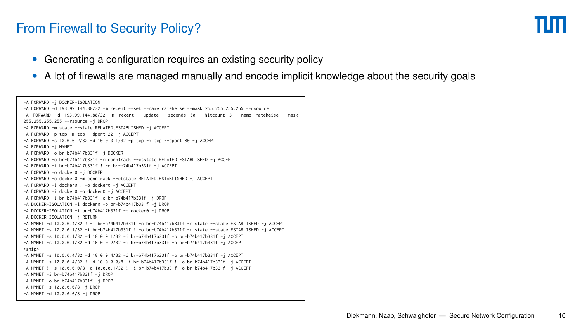- Generating a configuration requires an existing security policy
- A lot of firewalls are managed manually and encode implicit knowledge about the security goals

```
-A FORWARD -j DOCKER-ISOLATION
-A FORWARD -d 193.99.144.80/32 -m recent --set --name rateheise --mask 255.255.255.255 --rsource
-A FORWARD -d 193.99.144.80/32 -m recent --update --seconds 60 --hitcount 3 --name rateheise --mask
255.255.255.255 --rsource -j DROP
-A FORWARD -m state --state RELATED,ESTABLISHED -j ACCEPT
-A FORWARD -p tcp -m tcp --dport 22 -j ACCEPT
-A FORWARD -s 10.0.0.2/32 -d 10.0.0.1/32 -p tcp -m tcp --dport 80 -j ACCEPT
-A FORWARD -j MYNET
-A FORWARD -o br-b74b417b331f -j DOCKER
-A FORWARD -o br-b74b417b331f -m conntrack --ctstate RELATED,ESTABLISHED -j ACCEPT
-A FORWARD -i br-b74b417b331f ! -o br-b74b417b331f -j ACCEPT
-A FORWARD -o docker0 -j DOCKER
-A FORWARD -o docker0 -m conntrack --ctstate RELATED,ESTABLISHED -j ACCEPT
-A FORWARD -i docker0 ! -o docker0 -j ACCEPT
-A FORWARD -i docker0 -o docker0 -j ACCEPT
-A FORWARD -i br-b74b417b331f -o br-b74b417b331f -j DROP
-A DOCKER-ISOLATION -i docker0 -o br-b74b417b331f -j DROP
-A DOCKER-ISOLATION -i br-b74b417b331f -o docker0 -j DROP
-A DOCKER-ISOLATION -j RETURN
-A MYNET -d 10.0.0.4/32 ! -i br-b74b417b331f -o br-b74b417b331f -m state --state ESTABLISHED -j ACCEPT
-A MYNET -s 10.0.0.1/32 -i br-b74b417b331f ! -o br-b74b417b331f -m state --state ESTABLISHED -j ACCEPT
-A MYNET -s 10.0.0.1/32 -d 10.0.0.1/32 -i br-b74b417b331f -o br-b74b417b331f -j ACCEPT
-A MYNET -s 10.0.0.1/32 -d 10.0.0.2/32 -i br-b74b417b331f -o br-b74b417b331f -j ACCEPT
<snip>
-A MYNET -s 10.0.0.4/32 -d 10.0.0.4/32 -i br-b74b417b331f -o br-b74b417b331f -j ACCEPT
-A MYNET -s 10.0.0.4/32 ! -d 10.0.0.0/8 -i br-b74b417b331f ! -o br-b74b417b331f -j ACCEPT
-A MYNET ! -s 10.0.0.0/8 -d 10.0.0.1/32 ! -i br-b74b417b331f -o br-b74b417b331f -j ACCEPT
-A MYNET -i br-b74b417b331f -j DROP
-A MYNET -o br-b74b417b331f -j DROP
-A MYNET -s 10.0.0.0/8 -j DROP
-A MYNET -d 10.0.0.0/8 -j DROP
```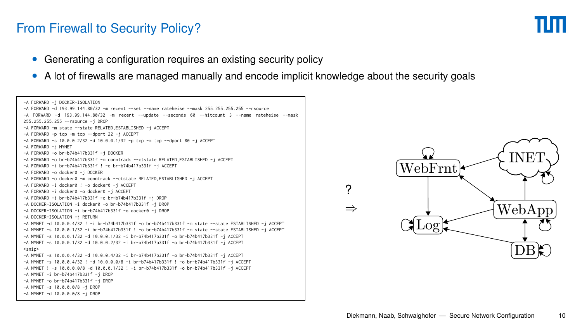- Generating a configuration requires an existing security policy
- A lot of firewalls are managed manually and encode implicit knowledge about the security goals

? ⇒

```
-A FORWARD -j DOCKER-ISOLATION
-A FORWARD -d 193.99.144.80/32 -m recent --set --name rateheise --mask 255.255.255.255 --rsource
-A FORWARD -d 193.99.144.80/32 -m recent --update --seconds 60 --hitcount 3 --name rateheise --mask
255.255.255.255 --rsource -j DROP
-A FORWARD -m state --state RELATED,ESTABLISHED -j ACCEPT
-A FORWARD -p tcp -m tcp --dport 22 -j ACCEPT
-A FORWARD -s 10.0.0.2/32 -d 10.0.0.1/32 -p tcp -m tcp --dport 80 -j ACCEPT
-A FORWARD -j MYNET
-A FORWARD -o br-b74b417b331f -j DOCKER
-A FORWARD -o br-b74b417b331f -m conntrack --ctstate RELATED,ESTABLISHED -j ACCEPT
-A FORWARD -i br-b74b417b331f ! -o br-b74b417b331f -j ACCEPT
-A FORWARD -o docker0 -j DOCKER
-A FORWARD -o docker0 -m conntrack --ctstate RELATED,ESTABLISHED -j ACCEPT
-A FORWARD -i docker0 ! -o docker0 -j ACCEPT
-A FORWARD -i docker0 -o docker0 -j ACCEPT
-A FORWARD -i br-b74b417b331f -o br-b74b417b331f -j DROP
-A DOCKER-ISOLATION -i docker0 -o br-b74b417b331f -j DROP
-A DOCKER-ISOLATION -i br-b74b417b331f -o docker0 -j DROP
-A DOCKER-ISOLATION -j RETURN
-A MYNET -d 10.0.0.4/32 ! -i br-b74b417b331f -o br-b74b417b331f -m state --state ESTABLISHED -j ACCEPT
-A MYNET -s 10.0.0.1/32 -i br-b74b417b331f ! -o br-b74b417b331f -m state --state ESTABLISHED -j ACCEPT
-A MYNET -s 10.0.0.1/32 -d 10.0.0.1/32 -i br-b74b417b331f -o br-b74b417b331f -j ACCEPT
-A MYNET -s 10.0.0.1/32 -d 10.0.0.2/32 -i br-b74b417b331f -o br-b74b417b331f -j ACCEPT
<snip>
-A MYNET -s 10.0.0.4/32 -d 10.0.0.4/32 -i br-b74b417b331f -o br-b74b417b331f -j ACCEPT
-A MYNET -s 10.0.0.4/32 ! -d 10.0.0.0/8 -i br-b74b417b331f ! -o br-b74b417b331f -j ACCEPT
-A MYNET ! -s 10.0.0.0/8 -d 10.0.0.1/32 ! -i br-b74b417b331f -o br-b74b417b331f -j ACCEPT
-A MYNET -i br-b74b417b331f -j DROP
-A MYNET -o br-b74b417b331f -j DROP
-A MYNET -s 10.0.0.0/8 -j DROP
-A MYNET -d 10.0.0.0/8 -j DROP
```
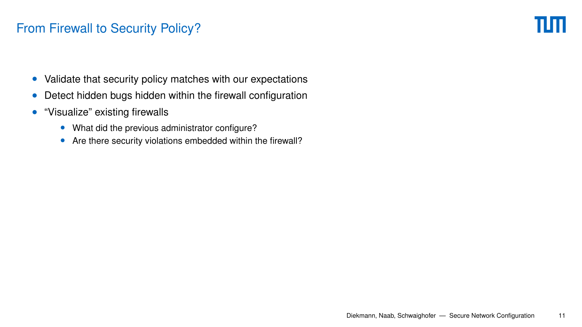- Validate that security policy matches with our expectations
- Detect hidden bugs hidden within the firewall configuration
- "Visualize" existing firewalls
	- What did the previous administrator configure?
	- Are there security violations embedded within the firewall?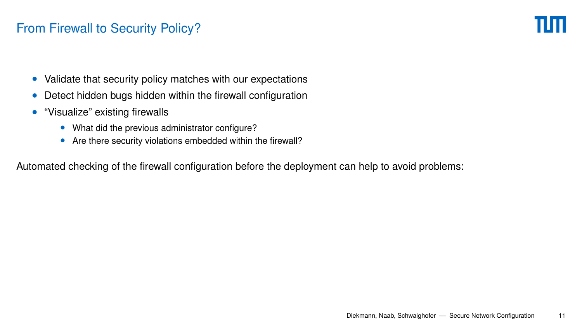- Validate that security policy matches with our expectations
- Detect hidden bugs hidden within the firewall configuration
- "Visualize" existing firewalls
	- What did the previous administrator configure?
	- Are there security violations embedded within the firewall?

Automated checking of the firewall configuration before the deployment can help to avoid problems: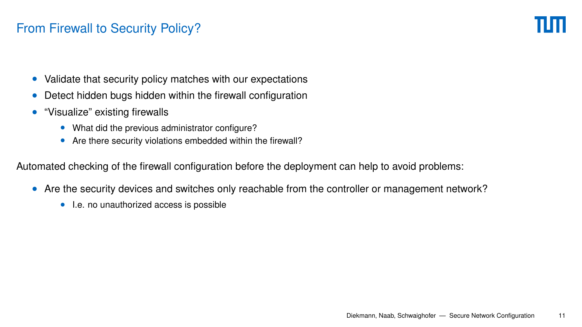- Validate that security policy matches with our expectations
- Detect hidden bugs hidden within the firewall configuration
- "Visualize" existing firewalls
	- What did the previous administrator configure?
	- Are there security violations embedded within the firewall?

Automated checking of the firewall configuration before the deployment can help to avoid problems:

- Are the security devices and switches only reachable from the controller or management network?
	- I.e. no unauthorized access is possible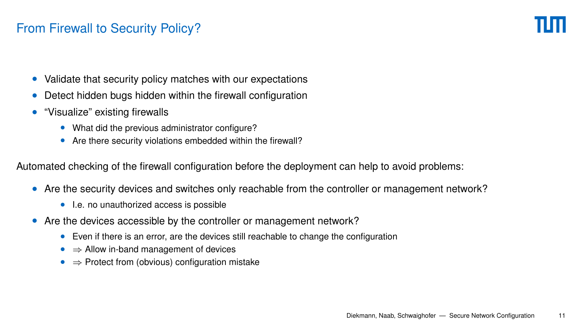- Validate that security policy matches with our expectations
- Detect hidden bugs hidden within the firewall configuration
- "Visualize" existing firewalls
	- What did the previous administrator configure?
	- Are there security violations embedded within the firewall?

Automated checking of the firewall configuration before the deployment can help to avoid problems:

- Are the security devices and switches only reachable from the controller or management network?
	- I.e. no unauthorized access is possible
- Are the devices accessible by the controller or management network?
	- Even if there is an error, are the devices still reachable to change the configuration
	- ⇒ Allow in-band management of devices
	- ⇒ Protect from (obvious) configuration mistake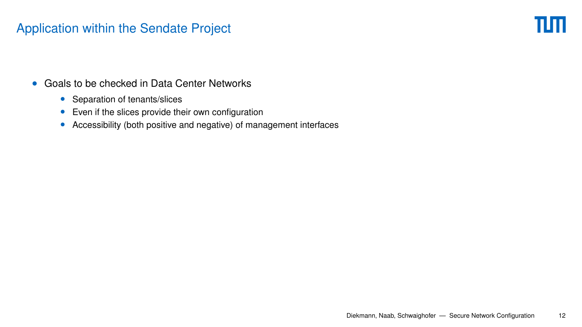## <span id="page-24-0"></span>[Application within the Sendate Project](#page-24-0)

πm

- Goals to be checked in Data Center Networks
	- Separation of tenants/slices
	- Even if the slices provide their own configuration
	- Accessibility (both positive and negative) of management interfaces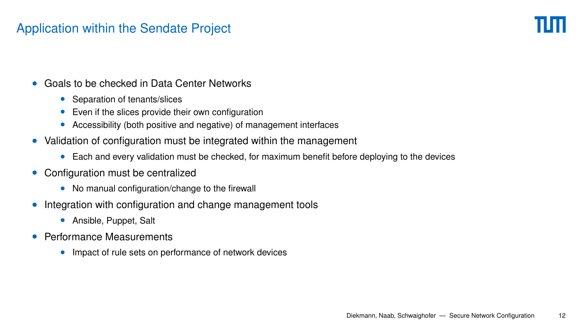## [Application within the Sendate Project](#page-24-0)

- Goals to be checked in Data Center Networks
	- Separation of tenants/slices
	- Even if the slices provide their own configuration
	- Accessibility (both positive and negative) of management interfaces
- Validation of configuration must be integrated within the management
	- Each and every validation must be checked, for maximum benefit before deploying to the devices
- Configuration must be centralized
	- No manual configuration/change to the firewall
- Integration with configuration and change management tools
	- Ansible, Puppet, Salt
- Performance Measurements
	- Impact of rule sets on performance of network devices